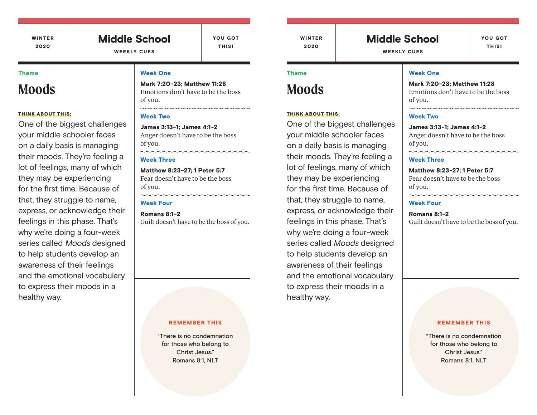WINTER 2020

### Middle School WEEKLY CUES

YOU GOT THIS!

#### Theme

# **Moods**

#### THINK ABOUT THIS:

One of the biggest challenges your middle schooler faces on a daily basis is managing their moods. They're feeling a lot of feelings, many of which they may be experiencing for the first time. Because of that, they struggle to name, express, or acknowledge their feelings in this phase. That's why we're doing a four-week series called Moods designed to help students develop an awareness of their feelings and the emotional vocabulary to express their moods in a healthy way.

#### Week One

Mark 7:20-23; Matthew 11:28 Emotions don't have to be the boss of you.

#### Week Two

James 3:13-1; James 4:1-2 Anger doesn't have to be the boss of you.

#### Week Three

Matthew 8:23-27; 1 Peter 5:7 Fear doesn't have to be the boss of you.

#### Week Four

Romans 8:1-2 Guilt doesn't have to be the boss of you.

#### REMEMBER THIS

"There is no condemnation for those who belong to Christ Jesus." Romans 8:1, NLT